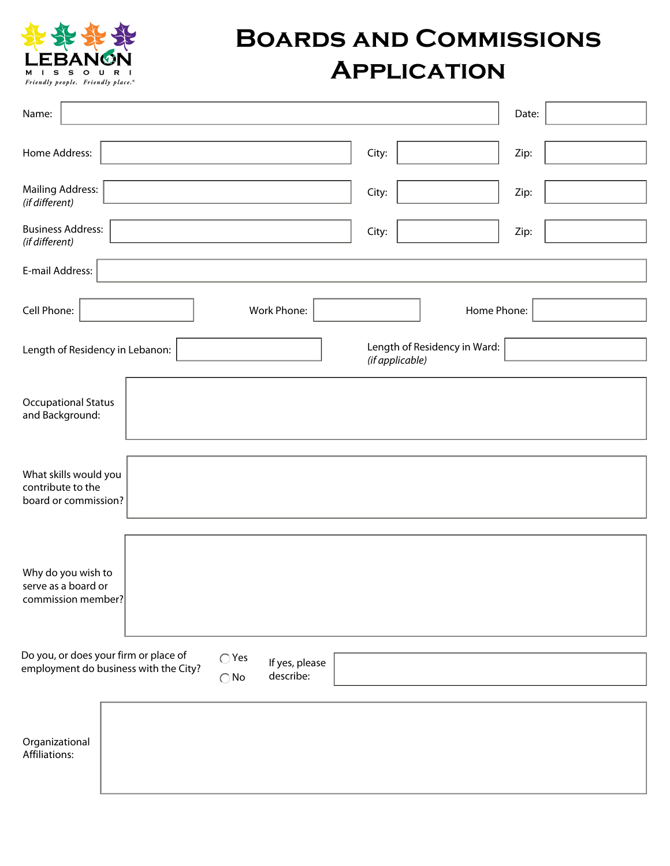

## **Boards and Commissions Application**

| Name:                                                                                                                                            | Date: |  |  |
|--------------------------------------------------------------------------------------------------------------------------------------------------|-------|--|--|
| Home Address:<br>City:                                                                                                                           | Zip:  |  |  |
| <b>Mailing Address:</b><br>City:<br>(if different)                                                                                               | Zip:  |  |  |
| <b>Business Address:</b><br>City:<br>(if different)                                                                                              | Zip:  |  |  |
| E-mail Address:                                                                                                                                  |       |  |  |
| Cell Phone:<br>Work Phone:<br>Home Phone:                                                                                                        |       |  |  |
| Length of Residency in Ward:<br>Length of Residency in Lebanon:<br>(if applicable)                                                               |       |  |  |
| <b>Occupational Status</b><br>and Background:                                                                                                    |       |  |  |
| What skills would you<br>contribute to the<br>board or commission?                                                                               |       |  |  |
| Why do you wish to<br>serve as a board or<br>commission member?                                                                                  |       |  |  |
| Do you, or does your firm or place of<br>$\bigcirc$ Yes<br>If yes, please<br>employment do business with the City?<br>describe:<br>$\bigcirc$ No |       |  |  |
| Organizational<br>Affiliations:                                                                                                                  |       |  |  |